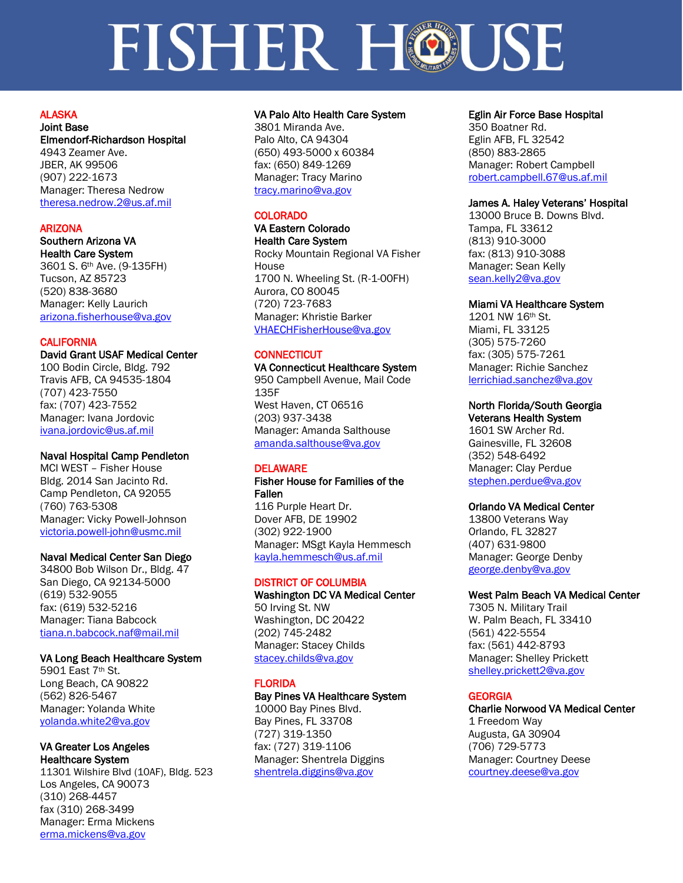# ALASKA

Joint Base Elmendorf-Richardson Hospital 4943 Zeamer Ave. JBER, AK 99506 (907) 222-1673 Manager: Theresa Nedrow [theresa.nedrow.2@us.af.mil](mailto:theresa.nedrow.2@us.af.mil)

# ARIZONA

# Southern Arizona VA

Health Care System 3601 S. 6th Ave. (9-135FH) Tucson, AZ 85723 (520) 838-3680 Manager: Kelly Laurich [arizona.fisherhouse@va.gov](mailto:arizona.fisherhouse@va.gov)

# **CALIFORNIA**

# David Grant USAF Medical Center

100 Bodin Circle, Bldg. 792 Travis AFB, CA 94535-1804 (707) 423-7550 fax: (707) 423-7552 Manager: Ivana Jordovic [ivana.jordovic@us.af.mil](mailto:ivana.jordovic@us.af.mil)

# Naval Hospital Camp Pendleton

MCI WEST – Fisher House Bldg. 2014 San Jacinto Rd. Camp Pendleton, CA 92055 (760) 763-5308 Manager: Vicky Powell-Johnson [victoria.powell-john@usmc.mil](mailto:victoria.powell-john@usmc.mil)

# Naval Medical Center San Diego

34800 Bob Wilson Dr., Bldg. 47 San Diego, CA 92134-5000 (619) 532-9055 fax: (619) 532-5216 Manager: Tiana Babcock [tiana.n.babcock.naf@mail.mil](mailto:tiana.n.babcock.naf@mail.mil)

# VA Long Beach Healthcare System

5901 East 7th St. Long Beach, CA 90822 (562) 826-5467 Manager: Yolanda White [yolanda.white2@va.gov](mailto:yolanda.white2@va.gov)

### VA Greater Los Angeles Healthcare System

11301 Wilshire Blvd (10AF), Bldg. 523 Los Angeles, CA 90073 (310) 268-4457 fax (310) 268-3499 Manager: Erma Mickens [erma.mickens@va.gov](mailto:erma.mickens@va.gov)

### VA Palo Alto Health Care System

3801 Miranda Ave. Palo Alto, CA 94304 (650) 493-5000 x 60384 fax: (650) 849-1269 Manager: Tracy Marino [tracy.marino@va.gov](mailto:tracy.marino@va.gov)

# COLORADO

VA Eastern Colorado Health Care System Rocky Mountain Regional VA Fisher House 1700 N. Wheeling St. (R-1-00FH) Aurora, CO 80045 (720) 723-7683 Manager: Khristie Barker [VHAECHFisherHouse@va.gov](mailto:VHAECHFisherHouse@va.gov)

# **CONNECTICUT**

# VA Connecticut Healthcare System 950 Campbell Avenue, Mail Code 135F West Haven, CT 06516

(203) 937-3438 Manager: Amanda Salthouse [amanda.salthouse@va.gov](mailto:amanda.salthouse@va.gov)

# DELAWARE

### Fisher House for Families of the Fallen

116 Purple Heart Dr. Dover AFB, DE 19902 (302) 922-1900 Manager: MSgt Kayla Hemmesch [kayla.hemmesch@us.af.mil](mailto:kayla.hemmesch@us.af.mil)

# DISTRICT OF COLUMBIA

Washington DC VA Medical Center 50 Irving St. NW Washington, DC 20422 (202) 745-2482 Manager: Stacey Childs [stacey.childs@va.gov](mailto:stacey.childs@va.gov)

# FLORIDA

# Bay Pines VA Healthcare System

10000 Bay Pines Blvd. Bay Pines, FL 33708 (727) 319-1350 fax: (727) 319-1106 Manager: Shentrela Diggins [shentrela.diggins@va.gov](mailto:shentrela.diggins@va.gov)

# Eglin Air Force Base Hospital

350 Boatner Rd. Eglin AFB, FL 32542 (850) 883-2865 Manager: Robert Campbell [robert.campbell.67@us.af.mil](mailto:robert.campbell.67@us.af.mil)

# James A. Haley Veterans' Hospital

13000 Bruce B. Downs Blvd. Tampa, FL 33612 (813) 910-3000 fax: (813) 910-3088 Manager: Sean Kelly [sean.kelly2@va.gov](mailto:sean.kelly2@va.gov)

# Miami VA Healthcare System

1201 NW 16th St. Miami, FL 33125 (305) 575-7260 fax: (305) 575-7261 Manager: Richie Sanchez [lerrichiad.sanchez@va.gov](mailto:lerrichiad.sanchez@va.gov)

# North Florida/South Georgia

Veterans Health System 1601 SW Archer Rd. Gainesville, FL 32608 (352) 548-6492 Manager: Clay Perdue [stephen.perdue@va.gov](mailto:stephen.perdue@va.gov)

### Orlando VA Medical Center

13800 Veterans Way Orlando, FL 32827 (407) 631-9800 Manager: George Denby [george.denby@va.gov](mailto:george.denby@va.gov)

# West Palm Beach VA Medical Center

7305 N. Military Trail W. Palm Beach, FL 33410 (561) 422-5554 fax: (561) 442-8793 Manager: Shelley Prickett [shelley.prickett2@va.gov](mailto:shelley.prickett2@va.gov)

# GEORGIA

Charlie Norwood VA Medical Center 1 Freedom Way Augusta, GA 30904 (706) 729-5773 Manager: Courtney Deese [courtney.deese@va.gov](mailto:courtney.deese@va.gov)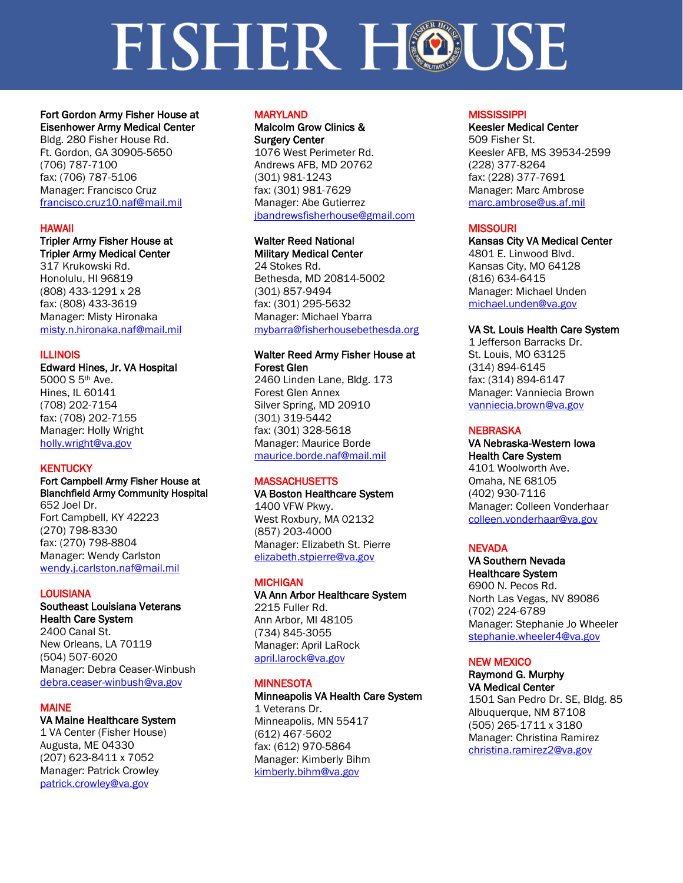# Fort Gordon Army Fisher House at Eisenhower Army Medical Center

Bldg. 280 Fisher House Rd. Ft. Gordon, GA 30905-5650 (706) 787-7100 fax: (706) 787-5106 Manager: Francisco Cruz [francisco.cruz10.naf@mail.mil](mailto:francisco.cruz10.naf@mail.mil) 

# HAWAII

# Tripler Army Fisher House at

Tripler Army Medical Center 317 Krukowski Rd. Honolulu, HI 96819 (808) 433-1291 x 28 fax: (808) 433-3619 Manager: Misty Hironaka [misty.n.hironaka.naf@mail.mil](mailto:misty.n.hironaka.naf@mail.mil)

# ILLINOIS

Edward Hines, Jr. VA Hospital 5000 S 5th Ave. Hines, IL 60141 (708) 202-7154 fax: (708) 202-7155 Manager: Holly Wright [holly.wright@va.gov](mailto:holly.wright@va.gov)

# **KENTUCKY**

### Fort Campbell Army Fisher House at Blanchfield Army Community Hospital 652 Joel Dr. Fort Campbell, KY 42223 (270) 798-8330 fax: (270) 798-8804 Manager: Wendy Carlston [wendy.j.carlston.naf@mail.mil](mailto:wendy.j.carlston.naf@mail.mil)

## **LOUISIANA**

# Southeast Louisiana Veterans Health Care System

2400 Canal St. New Orleans, LA 70119 (504) 507-6020 Manager: Debra Ceaser-Winbush [debra.ceaser-winbush@va.gov](mailto:debra.ceaser-winbush@va.gov)

# MAINE

# VA Maine Healthcare System

1 VA Center (Fisher House) Augusta, ME 04330 (207) 623-8411 x 7052 Manager: Patrick Crowley [patrick.crowley@va.gov](mailto:patrick.crowley@va.gov)

### MARYLAND

Malcolm Grow Clinics & Surgery Center 1076 West Perimeter Rd. Andrews AFB, MD 20762 (301) 981-1243 fax: (301) 981-7629 Manager: Abe Gutierrez [jbandrewsfisherhouse@gmail.com](mailto:jbandrewsfisherhouse@gmail.com)

# Walter Reed National

Military Medical Center 24 Stokes Rd. Bethesda, MD 20814-5002 (301) 857-9494 fax: (301) 295-5632 Manager: Michael Ybarra [mybarra@fisherhousebethesda.org](mailto:mybarra@fisherhousebethesda.org)

### Walter Reed Army Fisher House at Forest Glen

2460 Linden Lane, Bldg. 173 Forest Glen Annex Silver Spring, MD 20910 (301) 319-5442 fax: (301) 328-5618 Manager: Maurice Borde [maurice.borde.naf@mail.mil](mailto:maurice.borde.naf@mail.mil)

# **MASSACHUSETTS**

VA Boston Healthcare System 1400 VFW Pkwy. West Roxbury, MA 02132 (857) 203-4000 Manager: Elizabeth St. Pierre [elizabeth.stpierre@va.gov](mailto:elizabeth.stpierre@va.gov)

### **MICHIGAN**

### VA Ann Arbor Healthcare System 2215 Fuller Rd. Ann Arbor, MI 48105 (734) 845-3055

Manager: April LaRock [april.larock@va.gov](mailto:april.larock@va.gov)

### **MINNESOTA**

### Minneapolis VA Health Care System 1 Veterans Dr. Minneapolis, MN 55417 (612) 467-5602 fax: (612) 970-5864 Manager: Kimberly Bihm [kimberly.bihm@va.gov](mailto:kimberly.bihm@va.gov)

# **MISSISSIPPI**

# Keesler Medical Center 509 Fisher St. Keesler AFB, MS 39534-2599

(228) 377-8264 fax: (228) 377-7691 Manager: Marc Ambrose [marc.ambrose@us.af.mil](mailto:marc.ambrose@us.af.mil)

### **MISSOURI**

Kansas City VA Medical Center 4801 E. Linwood Blvd. Kansas City, MO 64128 (816) 634-6415 Manager: Michael Unden [michael.unden@va.gov](mailto:michael.unden@va.gov)

# VA St. Louis Health Care System

1 Jefferson Barracks Dr. St. Louis, MO 63125 (314) 894-6145 fax: (314) 894-6147 Manager: Vanniecia Brown [vanniecia.brown@va.gov](mailto:vanniecia.brown@va.gov)

### **NEBRASKA**

VA Nebraska-Western Iowa Health Care System 4101 Woolworth Ave. Omaha, NE 68105 (402) 930-7116 Manager: Colleen Vonderhaar [colleen.vonderhaar@va.gov](mailto:colleen.vonderhaar@va.gov)

### **NEVADA**

### VA Southern Nevada Healthcare System

6900 N. Pecos Rd. North Las Vegas, NV 89086 (702) 224-6789 Manager: Stephanie Jo Wheeler [stephanie.wheeler4@va.gov](mailto:stephanie.wheeler4@va.gov)

### NEW MEXICO

### Raymond G. Murphy VA Medical Center 1501 San Pedro Dr. SE, Bldg. 85

Albuquerque, NM 87108 (505) 265-1711 x 3180 Manager: Christina Ramirez [christina.ramirez2@va.gov](mailto:christina.ramirez2@va.gov)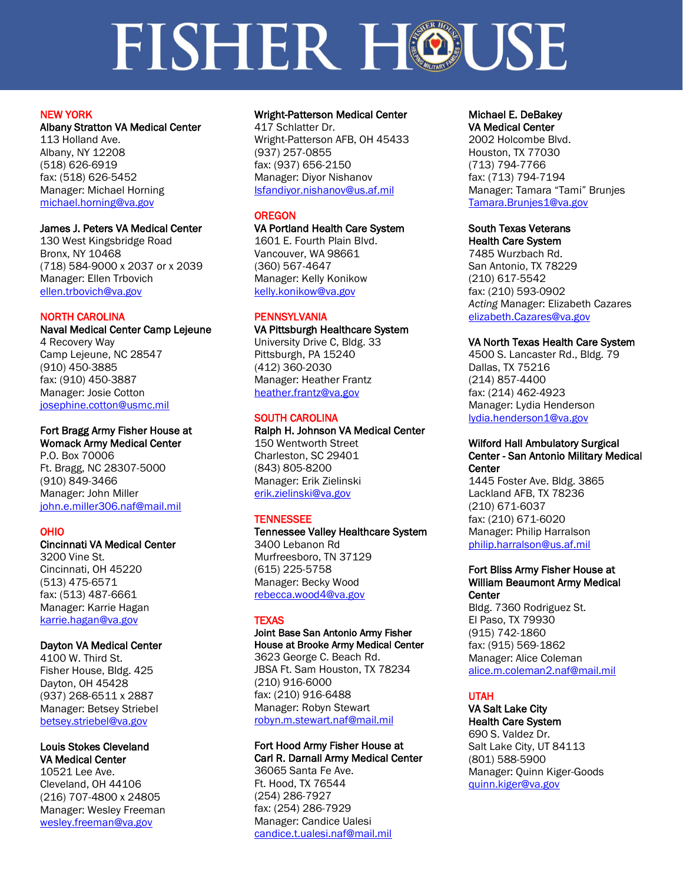# NEW YORK

# Albany Stratton VA Medical Center

113 Holland Ave. Albany, NY 12208 (518) 626-6919 fax: (518) 626-5452 Manager: Michael Horning [michael.horning@va.gov](mailto:michael.horning@va.gov)

# James J. Peters VA Medical Center

130 West Kingsbridge Road Bronx, NY 10468 (718) 584-9000 x 2037 or x 2039 Manager: Ellen Trbovich [ellen.trbovich@va.gov](mailto:ellen.trbovich@va.gov)

# NORTH CAROLINA

Naval Medical Center Camp Lejeune 4 Recovery Way Camp Lejeune, NC 28547 (910) 450-3885 fax: (910) 450-3887 Manager: Josie Cotton [josephine.cotton@usmc.mil](mailto:josephine.cotton@usmc.mil)

# Fort Bragg Army Fisher House at

Womack Army Medical Center P.O. Box 70006 Ft. Bragg, NC 28307-5000 (910) 849-3466 Manager: John Miller [john.e.miller306.naf@mail.mil](mailto:john.e.miller306.naf@mail.mil)

# OHIO

# Cincinnati VA Medical Center

3200 Vine St. Cincinnati, OH 45220 (513) 475-6571 fax: (513) 487-6661 Manager: Karrie Hagan [karrie.hagan@va.gov](mailto:karrie.hagan@va.gov)

# Dayton VA Medical Center

4100 W. Third St. Fisher House, Bldg. 425 Dayton, OH 45428 (937) 268-6511 x 2887 Manager: Betsey Striebel [betsey.striebel@va.gov](mailto:betsey.striebel@va.gov)

### Louis Stokes Cleveland VA Medical Center

10521 Lee Ave. Cleveland, OH 44106 (216) 707-4800 x 24805 Manager: Wesley Freeman [wesley.freeman@va.gov](mailto:wesley.freeman@va.gov)

# Wright-Patterson Medical Center

417 Schlatter Dr. Wright-Patterson AFB, OH 45433 (937) 257-0855 fax: (937) 656-2150 Manager: Diyor Nishanov Isfandiyor.nishanov@us.af.mil

# **OREGON**

# VA Portland Health Care System

1601 E. Fourth Plain Blvd. Vancouver, WA 98661 (360) 567-4647 Manager: Kelly Konikow [kelly.konikow@va.gov](mailto:kelly.konikow@va.gov) 

# **PENNSYLVANIA**

VA Pittsburgh Healthcare System University Drive C, Bldg. 33 Pittsburgh, PA 15240

(412) 360-2030 Manager: Heather Frantz [heather.frantz@va.gov](mailto:heather.frantz@va.gov)

# SOUTH CAROLINA

Ralph H. Johnson VA Medical Center 150 Wentworth Street Charleston, SC 29401 (843) 805-8200 Manager: Erik Zielinski [erik.zielinski@va.gov](mailto:erik.zielinski@va.gov)

# **TENNESSEE**

### Tennessee Valley Healthcare System 3400 Lebanon Rd Murfreesboro, TN 37129 (615) 225-5758 Manager: Becky Wood [rebecca.wood4@va.gov](mailto:rebecca.wood4@va.gov)

# **TEXAS**

### Joint Base San Antonio Army Fisher House at Brooke Army Medical Center

3623 George C. Beach Rd. JBSA Ft. Sam Houston, TX 78234 (210) 916-6000 fax: (210) 916-6488 Manager: Robyn Stewart [robyn.m.stewart.naf@mail.mil](mailto:robyn.m.stewart.naf@mail.mil)

### Fort Hood Army Fisher House at Carl R. Darnall Army Medical Center

36065 Santa Fe Ave. Ft. Hood, TX 76544 (254) 286-7927 fax: (254) 286-7929 Manager: Candice Ualesi [candice.t.ualesi.naf@mail.mil](mailto:candice.t.ualesi.naf@mail.mil)

### Michael E. DeBakey VA Medical Center

2002 Holcombe Blvd. Houston, TX 77030 (713) 794-7766 fax: (713) 794-7194 Manager: Tamara "Tami" Brunjes [Tamara.Brunjes1@va.gov](mailto:Tamara.Brunjes1@va.gov)

### South Texas Veterans Health Care System

7485 Wurzbach Rd. San Antonio, TX 78229 (210) 617-5542 fax: (210) 593-0902 *Acting* Manager: Elizabeth Cazares [elizabeth.Cazares@va.gov](mailto:elizabeth.Cazares@va.gov)

# VA North Texas Health Care System

4500 S. Lancaster Rd., Bldg. 79 Dallas, TX 75216 (214) 857-4400 fax: (214) 462-4923 Manager: Lydia Henderson [lydia.henderson1@va.gov](mailto:lydia.henderson1@va.gov)

### Wilford Hall Ambulatory Surgical Center - San Antonio Military Medical **Center**

1445 Foster Ave. Bldg. 3865 Lackland AFB, TX 78236 (210) 671-6037 fax: (210) 671-6020 Manager: Philip Harralson [philip.harralson@us.af.mil](mailto:philip.harralson@us.af.mil)

### Fort Bliss Army Fisher House at William Beaumont Army Medical **Center**

Bldg. 7360 Rodriguez St. El Paso, TX 79930 (915) 742-1860 fax: (915) 569-1862 Manager: Alice Coleman [alice.m.coleman2.naf@mail.mil](mailto:alice.m.coleman2.naf@mail.mil)

# UTAH

# VA Salt Lake City Health Care System

690 S. Valdez Dr. Salt Lake City, UT 84113 (801) 588-5900 Manager: Quinn Kiger-Goods [quinn.kiger@va.gov](mailto:quinn.kiger@va.gov)